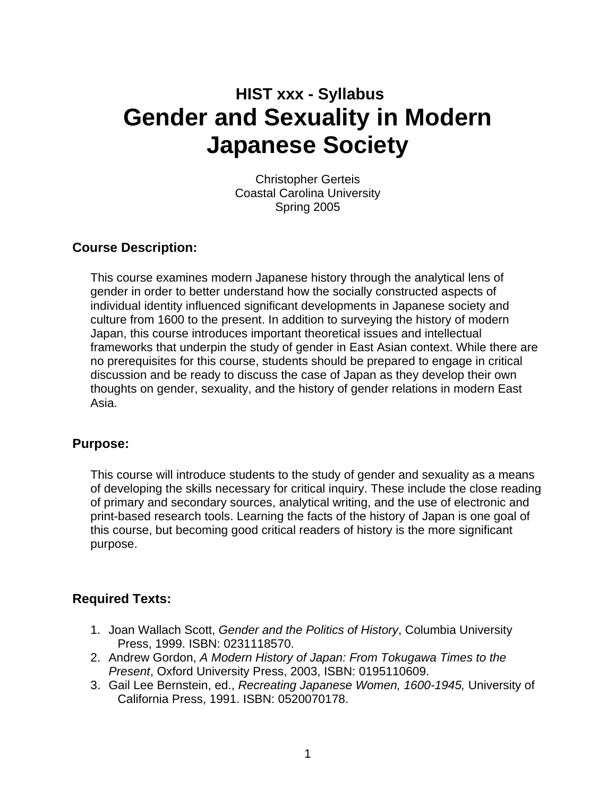## **HIST xxx - Syllabus Gender and Sexuality in Modern Japanese Society**

Christopher Gerteis Coastal Carolina University Spring 2005

#### **Course Description:**

This course examines modern Japanese history through the analytical lens of gender in order to better understand how the socially constructed aspects of individual identity influenced significant developments in Japanese society and culture from 1600 to the present. In addition to surveying the history of modern Japan, this course introduces important theoretical issues and intellectual frameworks that underpin the study of gender in East Asian context. While there are no prerequisites for this course, students should be prepared to engage in critical discussion and be ready to discuss the case of Japan as they develop their own thoughts on gender, sexuality, and the history of gender relations in modern East Asia.

#### **Purpose:**

This course will introduce students to the study of gender and sexuality as a means of developing the skills necessary for critical inquiry. These include the close reading of primary and secondary sources, analytical writing, and the use of electronic and print-based research tools. Learning the facts of the history of Japan is one goal of this course, but becoming good critical readers of history is the more significant purpose.

#### **Required Texts:**

- 1. Joan Wallach Scott, *Gender and the Politics of History*, Columbia University Press, 1999. ISBN: 0231118570.
- 2. Andrew Gordon, *A Modern History of Japan: From Tokugawa Times to the Present*, Oxford University Press, 2003, ISBN: 0195110609.
- 3. Gail Lee Bernstein, ed., *Recreating Japanese Women, 1600-1945,* University of California Press, 1991. ISBN: 0520070178.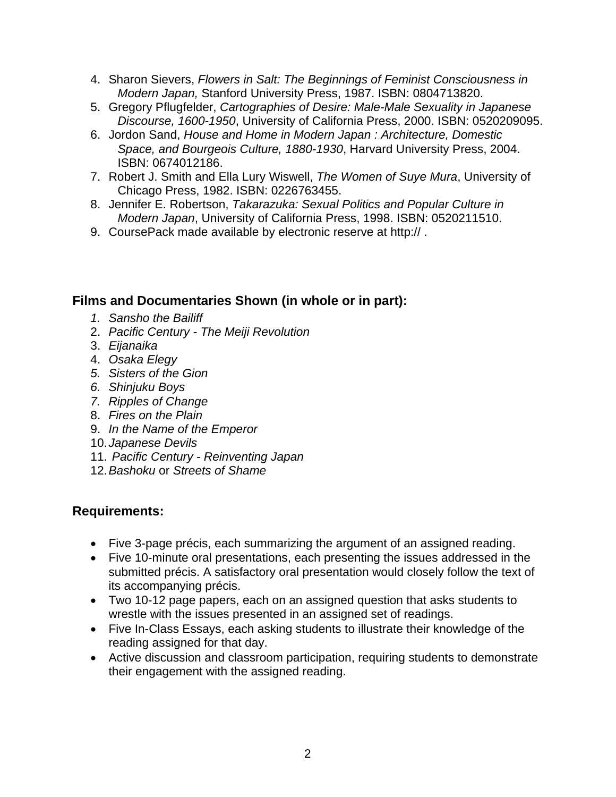- 4. Sharon Sievers, *Flowers in Salt: The Beginnings of Feminist Consciousness in Modern Japan,* Stanford University Press, 1987. ISBN: 0804713820.
- 5. Gregory Pflugfelder, *Cartographies of Desire: Male-Male Sexuality in Japanese Discourse, 1600-1950*, University of California Press, 2000. ISBN: 0520209095.
- 6. Jordon Sand, *House and Home in Modern Japan : Architecture, Domestic Space, and Bourgeois Culture, 1880-1930*, Harvard University Press, 2004. ISBN: 0674012186.
- 7. Robert J. Smith and Ella Lury Wiswell, *The Women of Suye Mura*, University of Chicago Press, 1982. ISBN: 0226763455.
- 8. Jennifer E. Robertson, *Takarazuka: Sexual Politics and Popular Culture in Modern Japan*, University of California Press, 1998. ISBN: 0520211510.
- 9. CoursePack made available by electronic reserve at http:// .

#### **Films and Documentaries Shown (in whole or in part):**

- *1. Sansho the Bailiff*
- 2. *Pacific Century The Meiji Revolution*
- 3. *Eijanaika*
- 4. *Osaka Elegy*
- *5. Sisters of the Gion*
- *6. Shinjuku Boys*
- *7. Ripples of Change*
- 8. *Fires on the Plain*
- 9. *In the Name of the Emperor*
- 10. *Japanese Devils*
- 11. *Pacific Century Reinventing Japan*
- 12. *Bashoku* or *Streets of Shame*

#### **Requirements:**

- Five 3-page précis, each summarizing the argument of an assigned reading.
- Five 10-minute oral presentations, each presenting the issues addressed in the submitted précis. A satisfactory oral presentation would closely follow the text of its accompanying précis.
- Two 10-12 page papers, each on an assigned question that asks students to wrestle with the issues presented in an assigned set of readings.
- Five In-Class Essays, each asking students to illustrate their knowledge of the reading assigned for that day.
- Active discussion and classroom participation, requiring students to demonstrate their engagement with the assigned reading.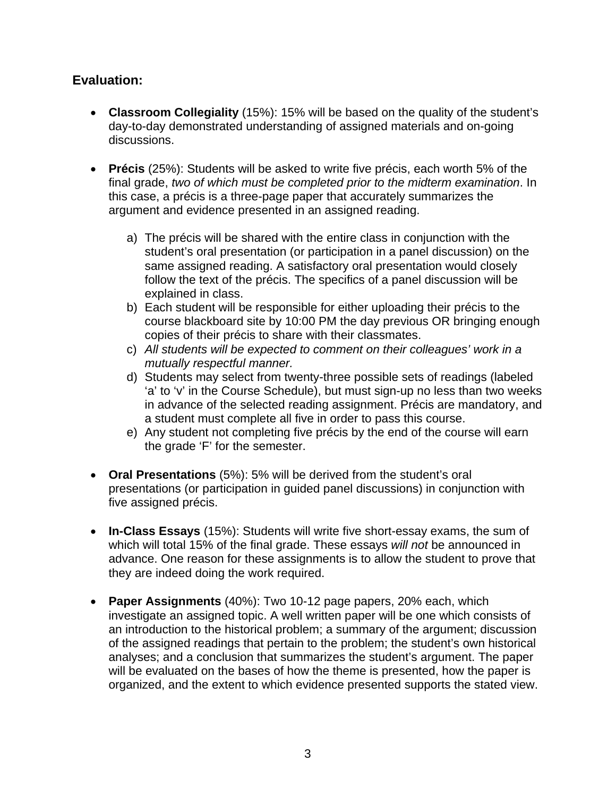#### **Evaluation:**

- **Classroom Collegiality** (15%): 15% will be based on the quality of the student's day-to-day demonstrated understanding of assigned materials and on-going discussions.
- **Précis** (25%): Students will be asked to write five précis, each worth 5% of the final grade, *two of which must be completed prior to the midterm examination*. In this case, a précis is a three-page paper that accurately summarizes the argument and evidence presented in an assigned reading.
	- a) The précis will be shared with the entire class in conjunction with the student's oral presentation (or participation in a panel discussion) on the same assigned reading. A satisfactory oral presentation would closely follow the text of the précis. The specifics of a panel discussion will be explained in class.
	- b) Each student will be responsible for either uploading their précis to the course blackboard site by 10:00 PM the day previous OR bringing enough copies of their précis to share with their classmates.
	- c) *All students will be expected to comment on their colleagues' work in a mutually respectful manner.*
	- d) Students may select from twenty-three possible sets of readings (labeled 'a' to 'v' in the Course Schedule), but must sign-up no less than two weeks in advance of the selected reading assignment. Précis are mandatory, and a student must complete all five in order to pass this course.
	- e) Any student not completing five précis by the end of the course will earn the grade 'F' for the semester.
- **Oral Presentations** (5%): 5% will be derived from the student's oral presentations (or participation in guided panel discussions) in conjunction with five assigned précis.
- **In-Class Essays** (15%): Students will write five short-essay exams, the sum of which will total 15% of the final grade. These essays *will not* be announced in advance. One reason for these assignments is to allow the student to prove that they are indeed doing the work required.
- **Paper Assignments** (40%): Two 10-12 page papers, 20% each, which investigate an assigned topic. A well written paper will be one which consists of an introduction to the historical problem; a summary of the argument; discussion of the assigned readings that pertain to the problem; the student's own historical analyses; and a conclusion that summarizes the student's argument. The paper will be evaluated on the bases of how the theme is presented, how the paper is organized, and the extent to which evidence presented supports the stated view.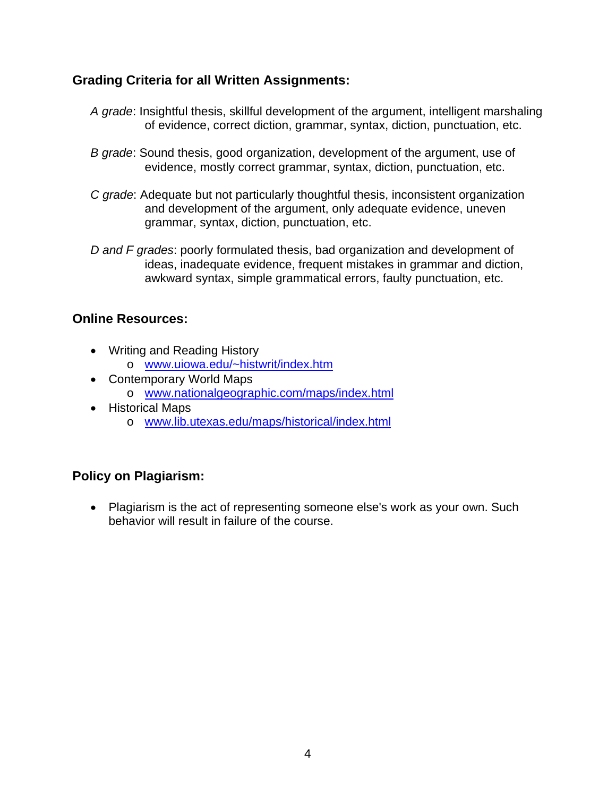#### **Grading Criteria for all Written Assignments:**

- *A grade*: Insightful thesis, skillful development of the argument, intelligent marshaling of evidence, correct diction, grammar, syntax, diction, punctuation, etc.
- *B grade*: Sound thesis, good organization, development of the argument, use of evidence, mostly correct grammar, syntax, diction, punctuation, etc.
- *C grade*: Adequate but not particularly thoughtful thesis, inconsistent organization and development of the argument, only adequate evidence, uneven grammar, syntax, diction, punctuation, etc.
- *D and F grades*: poorly formulated thesis, bad organization and development of ideas, inadequate evidence, frequent mistakes in grammar and diction, awkward syntax, simple grammatical errors, faulty punctuation, etc.

#### **Online Resources:**

- Writing and Reading History
	- o www.uiowa.edu/~histwrit/index.htm
- Contemporary World Maps
	- o www.nationalgeographic.com/maps/index.html
- Historical Maps
	- o www.lib.utexas.edu/maps/historical/index.html

### **Policy on Plagiarism:**

• Plagiarism is the act of representing someone else's work as your own. Such behavior will result in failure of the course.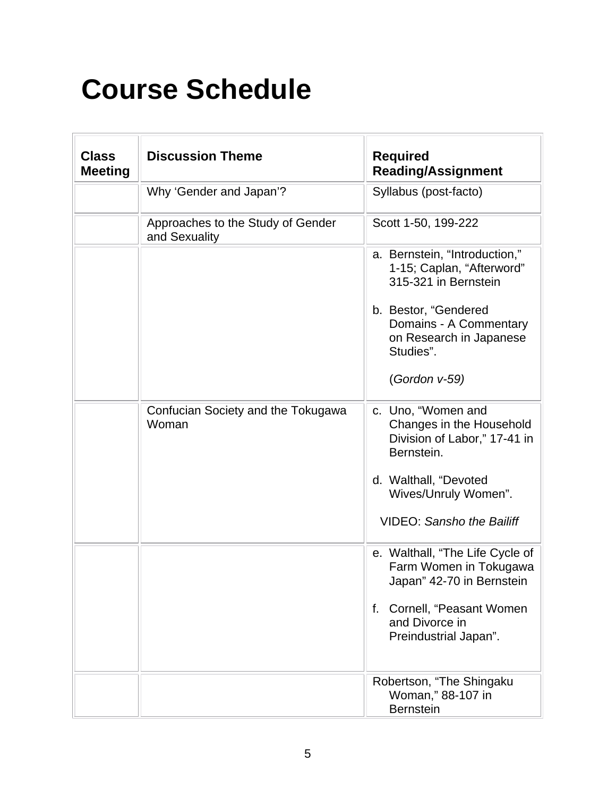# **Course Schedule**

| <b>Class</b><br><b>Meeting</b> | <b>Discussion Theme</b>                            | <b>Required</b><br><b>Reading/Assignment</b>                                                 |
|--------------------------------|----------------------------------------------------|----------------------------------------------------------------------------------------------|
|                                | Why 'Gender and Japan'?                            | Syllabus (post-facto)                                                                        |
|                                | Approaches to the Study of Gender<br>and Sexuality | Scott 1-50, 199-222                                                                          |
|                                |                                                    | a. Bernstein, "Introduction,"<br>1-15; Caplan, "Afterword"<br>315-321 in Bernstein           |
|                                |                                                    | b. Bestor, "Gendered<br>Domains - A Commentary<br>on Research in Japanese<br>Studies".       |
|                                |                                                    | (Gordon v-59)                                                                                |
|                                | Confucian Society and the Tokugawa<br>Woman        | c. Uno, "Women and<br>Changes in the Household<br>Division of Labor," 17-41 in<br>Bernstein. |
|                                |                                                    | d. Walthall, "Devoted<br>Wives/Unruly Women".                                                |
|                                |                                                    | <b>VIDEO: Sansho the Bailiff</b>                                                             |
|                                |                                                    | e. Walthall, "The Life Cycle of<br>Farm Women in Tokugawa<br>Japan" 42-70 in Bernstein       |
|                                |                                                    | Cornell, "Peasant Women<br>f.<br>and Divorce in<br>Preindustrial Japan".                     |
|                                |                                                    | Robertson, "The Shingaku<br>Woman," 88-107 in<br><b>Bernstein</b>                            |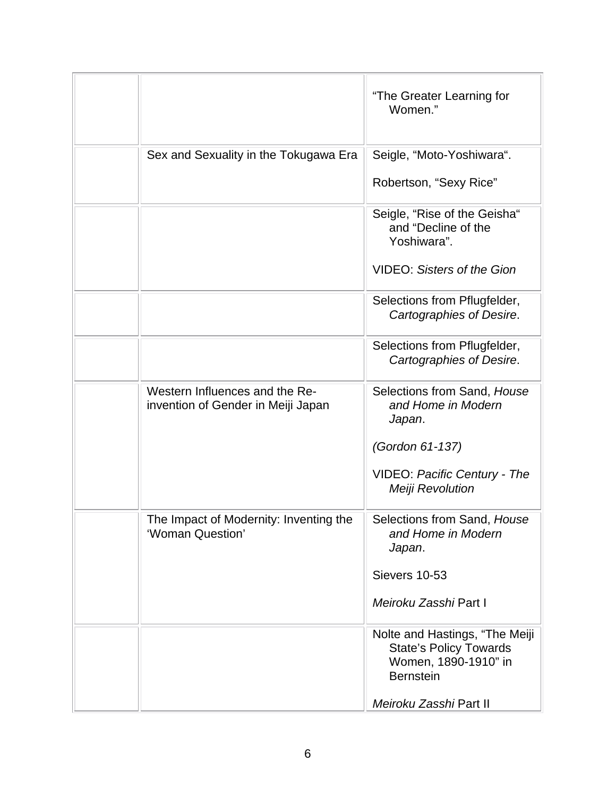|                                                                      | "The Greater Learning for<br>Women."                                                                                                  |
|----------------------------------------------------------------------|---------------------------------------------------------------------------------------------------------------------------------------|
| Sex and Sexuality in the Tokugawa Era                                | Seigle, "Moto-Yoshiwara".<br>Robertson, "Sexy Rice"                                                                                   |
|                                                                      | Seigle, "Rise of the Geisha"<br>and "Decline of the<br>Yoshiwara".<br><b>VIDEO: Sisters of the Gion</b>                               |
|                                                                      | Selections from Pflugfelder,<br>Cartographies of Desire.                                                                              |
|                                                                      | Selections from Pflugfelder,<br>Cartographies of Desire.                                                                              |
| Western Influences and the Re-<br>invention of Gender in Meiji Japan | Selections from Sand, House<br>and Home in Modern<br>Japan.<br>(Gordon 61-137)<br>VIDEO: Pacific Century - The<br>Meiji Revolution    |
| The Impact of Modernity: Inventing the<br>'Woman Question'           | Selections from Sand, House<br>and Home in Modern<br>Japan.<br>Sievers 10-53<br>Meiroku Zasshi Part I                                 |
|                                                                      | Nolte and Hastings, "The Meiji<br><b>State's Policy Towards</b><br>Women, 1890-1910" in<br><b>Bernstein</b><br>Meiroku Zasshi Part II |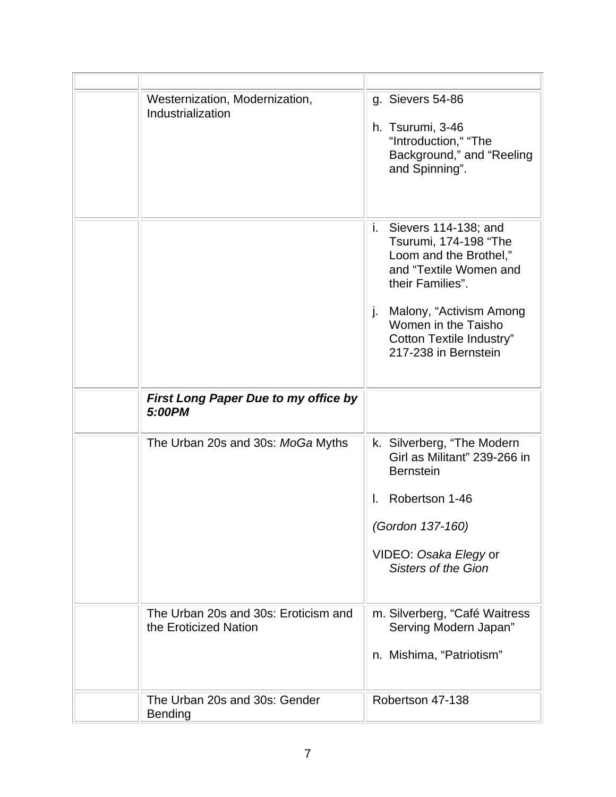| Westernization, Modernization,<br>Industrialization           | g. Sievers 54-86<br>h. Tsurumi, 3-46<br>"Introduction," "The<br>Background," and "Reeling<br>and Spinning".                                                                                                                                    |
|---------------------------------------------------------------|------------------------------------------------------------------------------------------------------------------------------------------------------------------------------------------------------------------------------------------------|
|                                                               | i.<br>Sievers 114-138; and<br>Tsurumi, 174-198 "The<br>Loom and the Brothel,"<br>and "Textile Women and<br>their Families".<br>Malony, "Activism Among<br>j.<br>Women in the Taisho<br><b>Cotton Textile Industry"</b><br>217-238 in Bernstein |
| <b>First Long Paper Due to my office by</b><br>5:00PM         |                                                                                                                                                                                                                                                |
| The Urban 20s and 30s: MoGa Myths                             | k. Silverberg, "The Modern"<br>Girl as Militant" 239-266 in<br><b>Bernstein</b><br>Robertson 1-46<br>L.<br>(Gordon 137-160)<br>VIDEO: Osaka Elegy or<br><b>Sisters of the Gion</b>                                                             |
| The Urban 20s and 30s: Eroticism and<br>the Eroticized Nation | m. Silverberg, "Café Waitress<br>Serving Modern Japan"<br>n. Mishima, "Patriotism"                                                                                                                                                             |
| The Urban 20s and 30s: Gender<br><b>Bending</b>               | Robertson 47-138                                                                                                                                                                                                                               |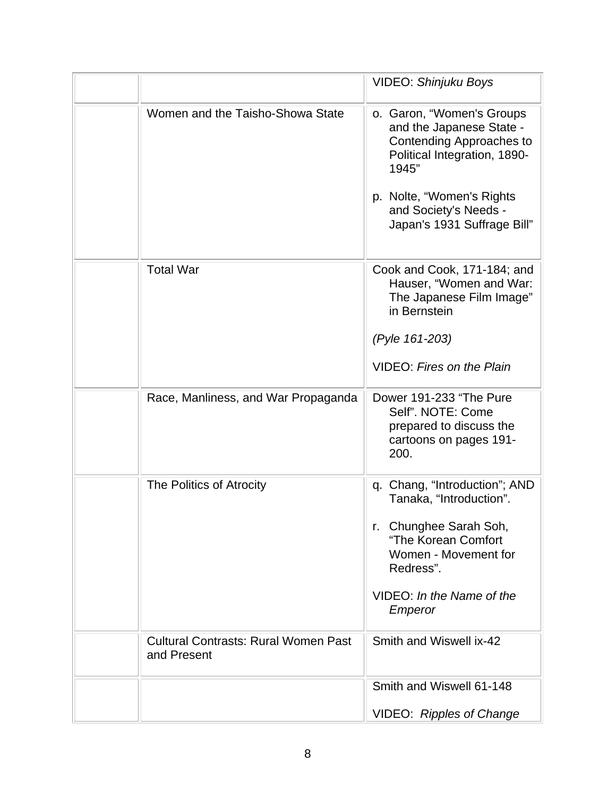|                                                            | <b>VIDEO: Shinjuku Boys</b>                                                                                                                                                                                     |
|------------------------------------------------------------|-----------------------------------------------------------------------------------------------------------------------------------------------------------------------------------------------------------------|
| Women and the Taisho-Showa State                           | o. Garon, "Women's Groups<br>and the Japanese State -<br>Contending Approaches to<br>Political Integration, 1890-<br>1945"<br>p. Nolte, "Women's Rights<br>and Society's Needs -<br>Japan's 1931 Suffrage Bill" |
| <b>Total War</b>                                           | Cook and Cook, 171-184; and<br>Hauser, "Women and War:<br>The Japanese Film Image"<br>in Bernstein<br>(Pyle 161-203)<br><b>VIDEO: Fires on the Plain</b>                                                        |
| Race, Manliness, and War Propaganda                        | Dower 191-233 "The Pure<br>Self". NOTE: Come<br>prepared to discuss the<br>cartoons on pages 191-<br>200.                                                                                                       |
| The Politics of Atrocity                                   | Chang, "Introduction"; AND<br>q.<br>Tanaka, "Introduction".<br>r. Chunghee Sarah Soh,<br>"The Korean Comfort<br>Women - Movement for<br>Redress".<br>VIDEO: In the Name of the<br>Emperor                       |
| <b>Cultural Contrasts: Rural Women Past</b><br>and Present | Smith and Wiswell ix-42                                                                                                                                                                                         |
|                                                            | Smith and Wiswell 61-148<br><b>VIDEO: Ripples of Change</b>                                                                                                                                                     |